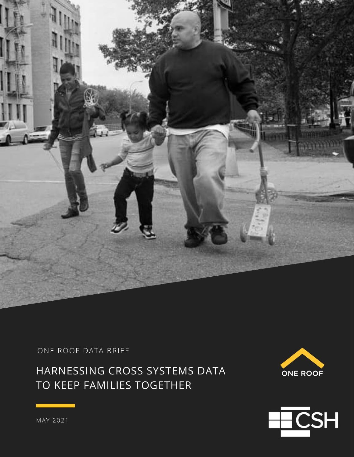

ONE ROOF DATA BRIEF

HARNESSING CROSS SYSTEMS DATA TO KEEP FAMILIES TOGETHER





MAY 2021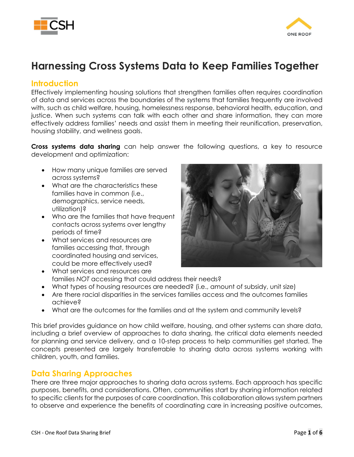



# **Harnessing Cross Systems Data to Keep Families Together**

#### **Introduction**

Effectively implementing housing solutions that strengthen families often requires coordination of data and services across the boundaries of the systems that families frequently are involved with, such as child welfare, housing, homelessness response, behavioral health, education, and justice. When such systems can talk with each other and share information, they can more effectively address families' needs and assist them in meeting their reunification, preservation, housing stability, and wellness goals.

**Cross systems data sharing** can help answer the following questions, a key to resource development and optimization:

- How many unique families are served across systems?
- What are the characteristics these families have in common (i.e., demographics, service needs, utilization)?
- Who are the families that have frequent contacts across systems over lengthy periods of time?
- What services and resources are families accessing that, through coordinated housing and services, could be more effectively used?
- 
- What services and resources are families *NOT* accessing that could address their needs?
- What types of housing resources are needed? (i.e., amount of subsidy, unit size)
- Are there racial disparities in the services families access and the outcomes families achieve?
- What are the outcomes for the families and at the system and community levels?

This brief provides guidance on how child welfare, housing, and other systems can share data, including a brief overview of approaches to data sharing, the critical data elements needed for planning and service delivery, and a 10-step process to help communities get started. The concepts presented are largely transferrable to sharing data across systems working with children, youth, and families.

#### **Data Sharing Approaches**

There are three major approaches to sharing data across systems. Each approach has specific purposes, benefits, and considerations. Often, communities start by sharing information related to specific clients for the purposes of care coordination. This collaboration allows system partners to observe and experience the benefits of coordinating care in increasing positive outcomes,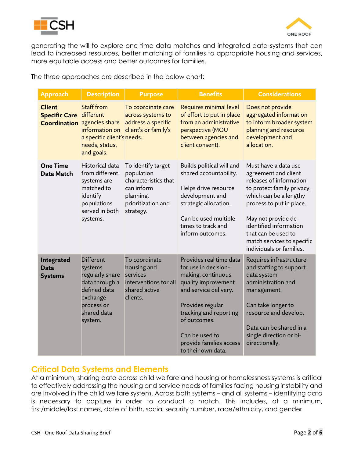



generating the will to explore one-time data matches and integrated data systems that can lead to increased resources, better matching of families to appropriate housing and services, more equitable access and better outcomes for families.

The three approaches are described in the below chart:

| <b>Approach</b>                             | <b>Description</b>                                                                                                                   | <b>Purpose</b>                                                                                                         | <b>Benefits</b>                                                                                                                                                                                                                                        | <b>Considerations</b>                                                                                                                                                                                                                                                                         |
|---------------------------------------------|--------------------------------------------------------------------------------------------------------------------------------------|------------------------------------------------------------------------------------------------------------------------|--------------------------------------------------------------------------------------------------------------------------------------------------------------------------------------------------------------------------------------------------------|-----------------------------------------------------------------------------------------------------------------------------------------------------------------------------------------------------------------------------------------------------------------------------------------------|
| <b>Client</b><br><b>Specific Care</b>       | <b>Staff from</b><br>different<br><b>Coordination</b> agencies share<br>a specific client's needs.<br>needs, status,<br>and goals.   | To coordinate care<br>across systems to<br>address a specific<br>information on client's or family's                   | Requires minimal level<br>of effort to put in place<br>from an administrative<br>perspective (MOU<br>between agencies and<br>client consent).                                                                                                          | Does not provide<br>aggregated information<br>to inform broader system<br>planning and resource<br>development and<br>allocation.                                                                                                                                                             |
| <b>One Time</b><br>Data Match               | Historical data<br>from different<br>systems are<br>matched to<br>identify<br>populations<br>served in both<br>systems.              | To identify target<br>population<br>characteristics that<br>can inform<br>planning,<br>prioritization and<br>strategy. | Builds political will and<br>shared accountability.<br>Helps drive resource<br>development and<br>strategic allocation.<br>Can be used multiple<br>times to track and<br>inform outcomes.                                                              | Must have a data use<br>agreement and client<br>releases of information<br>to protect family privacy,<br>which can be a lengthy<br>process to put in place.<br>May not provide de-<br>identified information<br>that can be used to<br>match services to specific<br>individuals or families. |
| Integrated<br><b>Data</b><br><b>Systems</b> | <b>Different</b><br>systems<br>regularly share<br>data through a<br>defined data<br>exchange<br>process or<br>shared data<br>system. | To coordinate<br>housing and<br>services<br>interventions for all<br>shared active<br>clients.                         | Provides real time data<br>for use in decision-<br>making, continuous<br>quality improvement<br>and service delivery.<br>Provides regular<br>tracking and reporting<br>of outcomes.<br>Can be used to<br>provide families access<br>to their own data. | Requires infrastructure<br>and staffing to support<br>data system<br>administration and<br>management.<br>Can take longer to<br>resource and develop.<br>Data can be shared in a<br>single direction or bi-<br>directionally.                                                                 |

### **Critical Data Systems and Elements**

At a minimum, sharing data across child welfare and housing or homelessness systems is critical to effectively addressing the housing and service needs of families facing housing instability and are involved in the child welfare system. Across both systems – and all systems – identifying data is necessary to capture in order to conduct a match. This includes, at a minimum, first/middle/last names, date of birth, social security number, race/ethnicity, and gender.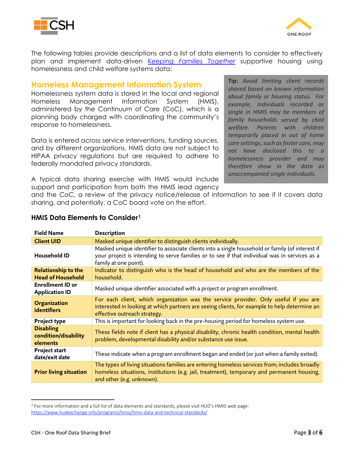



The following tables provide descriptions and a list of data elements to consider to effectively plan and implement data-driven *[Keeping Families Together](https://www.csh.org/resources/keeping-families-together-overview/)* supportive housing using homelessness and child welfare systems data:

#### **Homeless Management Information System**

Homelessness system data is stored in the local and regional Homeless Management Information System (HMIS), administered by the Continuum of Care (CoC), which is a planning body charged with coordinating the community's response to homelessness.

Data is entered across service interventions, funding sources, and by different organizations. HMIS data are not subject to HIPAA privacy regulations but are required to adhere to federally mandated privacy standards.

A typical data sharing exercise with HMIS would include support and participation from both the HMIS lead agency **Tip:** *Avoid limiting client records shared based on known information about family or housing status. For example, individuals recorded as single in HMIS may be members of family households served by child welfare. Parents with children temporarily placed in out of home care settings, such as foster care, may not have disclosed this to a homelessness provider and may therefore show in the data as unaccompanied single individuals.*

and the CoC, a review of the privacy notice/release of information to see if it covers data sharing, and potentially, a CoC board vote on the effort.

| <b>Field Name</b>                                      | <b>Description</b>                                                                                                                                                                                                        |
|--------------------------------------------------------|---------------------------------------------------------------------------------------------------------------------------------------------------------------------------------------------------------------------------|
| <b>Client UID</b>                                      | Masked unique identifier to distinguish clients individually.                                                                                                                                                             |
| Household ID                                           | Masked unique identifier to associate clients into a single household or family (of interest if<br>your project is intending to serve families or to see if that individual was in services as a<br>family at one point). |
| <b>Relationship to the</b><br><b>Head of Household</b> | Indicator to distinguish who is the head of household and who are the members of the<br>household.                                                                                                                        |
| <b>Enrollment ID or</b><br><b>Application ID</b>       | Masked unique identifier associated with a project or program enrollment.                                                                                                                                                 |
| <b>Organization</b><br>identifiers                     | For each client, which organization was the service provider. Only useful if you are<br>interested in looking at which partners are seeing clients, for example to help determine an<br>effective outreach strategy.      |
| <b>Project type</b>                                    | This is important for looking back in the pre-housing period for homeless system use.                                                                                                                                     |
| <b>Disabling</b><br>condition/disability<br>elements   | These fields note if client has a physical disability, chronic health condition, mental health<br>problem, developmental disability and/or substance use issue.                                                           |
| <b>Project start</b><br>date/exit date                 | These indicate when a program enrollment began and ended (or just when a family exited).                                                                                                                                  |
| <b>Prior living situation</b>                          | The types of living situations families are entering homeless services from; includes broadly<br>homeless situations, institutions (e.g. jail, treatment), temporary and permanent housing,<br>and other (e.g. unknown).  |

#### **HMIS Data Elements to Consider[1](#page-3-0)**

 $\overline{\phantom{a}}$ 

<span id="page-3-0"></span><sup>&</sup>lt;sup>1</sup> For more information and a full list of data elements and standards, please visit HUD's HMIS web page: <https://www.hudexchange.info/programs/hmis/hmis-data-and-technical-standards/>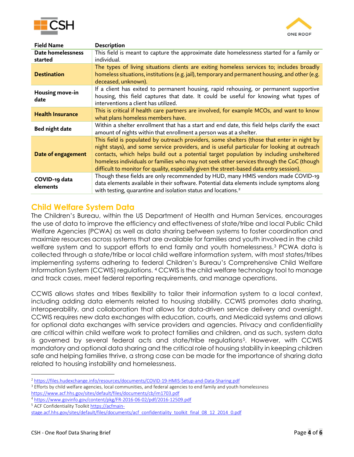



| <b>Field Name</b>         | <b>Description</b>                                                                                                                                                                                                                                                                                                                                                                                                                                                         |
|---------------------------|----------------------------------------------------------------------------------------------------------------------------------------------------------------------------------------------------------------------------------------------------------------------------------------------------------------------------------------------------------------------------------------------------------------------------------------------------------------------------|
| <b>Date homelessness</b>  | This field is meant to capture the approximate date homelessness started for a family or                                                                                                                                                                                                                                                                                                                                                                                   |
| started                   | individual.                                                                                                                                                                                                                                                                                                                                                                                                                                                                |
| <b>Destination</b>        | The types of living situations clients are exiting homeless services to; includes broadly<br>homeless situations, institutions (e.g. jail), temporary and permanent housing, and other (e.g.<br>deceased, unknown).                                                                                                                                                                                                                                                        |
| Housing move-in<br>date   | If a client has exited to permanent housing, rapid rehousing, or permanent supportive<br>housing, this field captures that date. It could be useful for knowing what types of<br>interventions a client has utilized.                                                                                                                                                                                                                                                      |
| <b>Health Insurance</b>   | This is critical if health care partners are involved, for example MCOs, and want to know<br>what plans homeless members have.                                                                                                                                                                                                                                                                                                                                             |
| <b>Bed night date</b>     | Within a shelter enrollment that has a start and end date, this field helps clarify the exact<br>amount of nights within that enrollment a person was at a shelter.                                                                                                                                                                                                                                                                                                        |
| Date of engagement        | This field is populated by outreach providers, some shelters (those that enter in night by<br>night stays), and some service providers, and is useful particular for looking at outreach<br>contacts, which helps build out a potential target population by including unsheltered<br>homeless individuals or families who may not seek other services through the CoC (though<br>difficult to monitor for quality, especially given the street-based data entry session). |
| COVID-19 data<br>elements | Though these fields are only recommended by HUD, many HMIS vendors made COVID-19<br>data elements available in their software. Potential data elements include symptoms along<br>with testing, quarantine and isolation status and locations. <sup>2</sup>                                                                                                                                                                                                                 |

### **Child Welfare System Data**

The Children's Bureau, within the US Department of Health and Human Services, encourages the use of data to improve the efficiency and effectiveness of state/tribe and local Public Child Welfare Agencies (PCWA) as well as data sharing between systems to foster coordination and maximize resources across systems that are available for families and youth involved in the child welfare system and to support efforts to end family and youth homelessness.[3](#page-4-1) PCWA data is collected through a state/tribe or local child welfare information system, with most states/tribes implementing systems adhering to federal Children's Bureau's Comprehensive Child Welfare Information System (CCWIS) regulations. [4](#page-4-2) CCWIS is the child welfare technology tool to manage and track cases, meet federal reporting requirements, and manage operations.

CCWIS allows states and tribes flexibility to tailor their information system to a local context, including adding data elements related to housing stability. CCWIS promotes data sharing, interoperability, and collaboration that allows for data-driven service delivery and oversight. CCWIS requires new data exchanges with education, courts, and Medicaid systems and allows for optional data exchanges with service providers and agencies. Privacy and confidentiality are critical within child welfare work to protect families and children, and as such, system data is governed by several federal acts and state/tribe regulations[5.](#page-4-3) However, with CCWIS mandatory and optional data sharing and the critical role of housing stability in keeping children safe and helping families thrive, a strong case can be made for the importance of sharing data related to housing instability and homelessness.

l

<span id="page-4-0"></span><sup>2</sup> <https://files.hudexchange.info/resources/documents/COVID-19-HMIS-Setup-and-Data-Sharing.pdf>

<span id="page-4-1"></span><sup>&</sup>lt;sup>3</sup> Efforts by child welfare agencies, local communities, and federal agencies to end family and youth homelessness <https://www.acf.hhs.gov/sites/default/files/documents/cb/im1703.pdf>

<span id="page-4-2"></span><sup>4</sup> <https://www.govinfo.gov/content/pkg/FR-2016-06-02/pdf/2016-12509.pdf>

<span id="page-4-3"></span><sup>&</sup>lt;sup>5</sup> ACF Confidentiality Toolki[t https://acfmain-](https://acfmain-stage.acf.hhs.gov/sites/default/files/documents/acf_confidentiality_toolkit_final_08_12_2014_0.pdf)

[stage.acf.hhs.gov/sites/default/files/documents/acf\\_confidentiality\\_toolkit\\_final\\_08\\_12\\_2014\\_0.pdf](https://acfmain-stage.acf.hhs.gov/sites/default/files/documents/acf_confidentiality_toolkit_final_08_12_2014_0.pdf)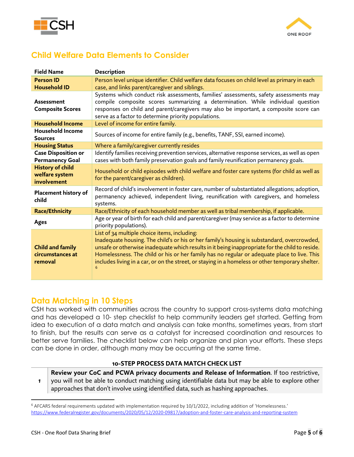



## **Child Welfare Data Elements to Consider**

| <b>Field Name</b>                                        | <b>Description</b>                                                                                                                                                                                                                                                                                                                                                                                                                                     |
|----------------------------------------------------------|--------------------------------------------------------------------------------------------------------------------------------------------------------------------------------------------------------------------------------------------------------------------------------------------------------------------------------------------------------------------------------------------------------------------------------------------------------|
| <b>Person ID</b>                                         | Person level unique identifier. Child welfare data focuses on child level as primary in each                                                                                                                                                                                                                                                                                                                                                           |
| <b>Household ID</b>                                      | case, and links parent/caregiver and siblings.                                                                                                                                                                                                                                                                                                                                                                                                         |
| <b>Assessment</b><br><b>Composite Scores</b>             | Systems which conduct risk assessments, families' assessments, safety assessments may<br>compile composite scores summarizing a determination. While individual question<br>responses on child and parent/caregivers may also be important, a composite score can<br>serve as a factor to determine priority populations.                                                                                                                              |
| <b>Household Income</b>                                  | Level of income for entire family.                                                                                                                                                                                                                                                                                                                                                                                                                     |
| <b>Household Income</b><br><b>Sources</b>                | Sources of income for entire family (e.g., benefits, TANF, SSI, earned income).                                                                                                                                                                                                                                                                                                                                                                        |
| <b>Housing Status</b>                                    | Where a family/caregiver currently resides                                                                                                                                                                                                                                                                                                                                                                                                             |
| <b>Case Disposition or</b><br><b>Permanency Goal</b>     | Identify families receiving prevention services, alternative response services, as well as open<br>cases with both family preservation goals and family reunification permanency goals.                                                                                                                                                                                                                                                                |
| <b>History of child</b><br>welfare system<br>involvement | Household or child episodes with child welfare and foster care systems (for child as well as<br>for the parent/caregiver as children).                                                                                                                                                                                                                                                                                                                 |
| Placement history of<br>child                            | Record of child's involvement in foster care, number of substantiated allegations; adoption,<br>permanency achieved, independent living, reunification with caregivers, and homeless<br>systems.                                                                                                                                                                                                                                                       |
| <b>Race/Ethnicity</b>                                    | Race/Ethnicity of each household member as well as tribal membership, if applicable.                                                                                                                                                                                                                                                                                                                                                                   |
| <b>Ages</b>                                              | Age or year of birth for each child and parent/caregiver (may service as a factor to determine<br>priority populations).                                                                                                                                                                                                                                                                                                                               |
| <b>Child and family</b><br>circumstances at<br>removal   | List of 34 multiple choice items, including:<br>Inadequate housing. The child's or his or her family's housing is substandard, overcrowded,<br>unsafe or otherwise inadequate which results in it being inappropriate for the child to reside.<br>Homelessness. The child or his or her family has no regular or adequate place to live. This<br>includes living in a car, or on the street, or staying in a homeless or other temporary shelter.<br>6 |

### **Data Matching in 10 Steps**

CSH has worked with communities across the country to support cross-systems data matching and has developed a 10- step checklist to help community leaders get started. Getting from idea to execution of a data match and analysis can take months, sometimes years, from start to finish, but the results can serve as a catalyst for increased coordination and resources to better serve families. The checklist below can help organize and plan your efforts. These steps can be done in order, although many may be occurring at the same time.

#### **10-STEP PROCESS DATA MATCH CHECK LIST**

*1* **Review your CoC and PCWA privacy documents and Release of Information**. If too restrictive, you will not be able to conduct matching using identifiable data but may be able to explore other approaches that don't involve using identified data, such as hashing approaches.

 $\overline{\phantom{a}}$ 

<span id="page-5-0"></span><sup>6</sup> AFCARS federal requirements updated with implementation required by 10/1/2022, including addition of 'Homelessness.' <https://www.federalregister.gov/documents/2020/05/12/2020-09817/adoption-and-foster-care-analysis-and-reporting-system>